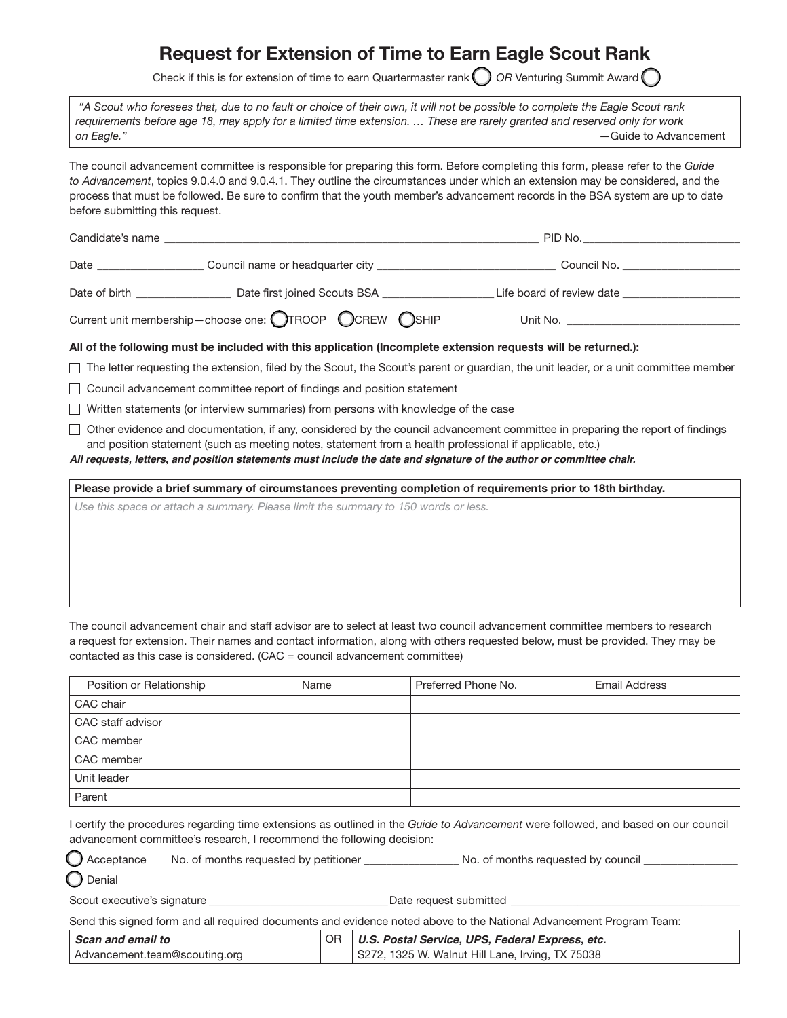# Request for Extension of Time to Earn Eagle Scout Rank

Check if this is for extension of time to earn Quartermaster rank ◯ *OR* Venturing Summit Award ◯

 *"A Scout who foresees that, due to no fault or choice of their own, it will not be possible to complete the Eagle Scout rank requirements before age 18, may apply for a limited time extension. … These are rarely granted and reserved only for work on Eagle." —*Guide to Advancement

The council advancement committee is responsible for preparing this form. Before completing this form, please refer to the *Guide to Advancement*, topics 9.0.4.0 and 9.0.4.1. They outline the circumstances under which an extension may be considered, and the process that must be followed. Be sure to confirm that the youth member's advancement records in the BSA system are up to date before submitting this request.

| Candidate's name |                                                        | PID No.                   |  |  |
|------------------|--------------------------------------------------------|---------------------------|--|--|
| Date             | Council name or headquarter city                       | Council No.               |  |  |
| Date of birth    | Date first joined Scouts BSA                           | Life board of review date |  |  |
|                  | Current unit membership-choose one: OTROOP CCREW OSHIP | Unit No.                  |  |  |

### All of the following must be included with this application (Incomplete extension requests will be returned.):

The letter requesting the extension, filed by the Scout, the Scout's parent or guardian, the unit leader, or a unit committee member

□ Council advancement committee report of findings and position statement

 $\Box$  Written statements (or interview summaries) from persons with knowledge of the case

 $\Box$  Other evidence and documentation, if any, considered by the council advancement committee in preparing the report of findings and position statement (such as meeting notes, statement from a health professional if applicable, etc.)

*All requests, letters, and position statements must include the date and signature of the author or committee chair.*

Please provide a brief summary of circumstances preventing completion of requirements prior to 18th birthday.

*Use this space or attach a summary. Please limit the summary to 150 words or less.*

The council advancement chair and staff advisor are to select at least two council advancement committee members to research a request for extension. Their names and contact information, along with others requested below, must be provided. They may be contacted as this case is considered. (CAC = council advancement committee)

| Position or Relationship | Name | Preferred Phone No. | <b>Email Address</b> |
|--------------------------|------|---------------------|----------------------|
| CAC chair                |      |                     |                      |
| CAC staff advisor        |      |                     |                      |
| CAC member               |      |                     |                      |
| CAC member               |      |                     |                      |
| Unit leader              |      |                     |                      |
| Parent                   |      |                     |                      |

I certify the procedures regarding time extensions as outlined in the *Guide to Advancement* were followed, and based on our council advancement committee's research, I recommend the following decision:

 $\bigcup$  Acceptance No. of months requested by petitioner \_\_\_\_\_\_\_\_\_\_\_\_\_\_\_\_\_\_No. of months requested by council \_\_\_\_\_\_\_\_\_\_\_\_\_\_

Denial

Scout executive's signature executive's signature the second submitted  $\Box$  and  $\Box$  and  $\Box$  and  $\Box$  and  $\Box$  and  $\Box$  and  $\Box$  and  $\Box$  and  $\Box$  and  $\Box$  and  $\Box$  and  $\Box$  and  $\Box$  and  $\Box$  and  $\Box$  and  $\Box$  and  $\Box$  an

Send this signed form and all required documents and evidence noted above to the National Advancement Program Team:

| Scan and email to             | OR   U.S. Postal Service, UPS, Federal Express, etc. |
|-------------------------------|------------------------------------------------------|
| Advancement.team@scouting.org | S272, 1325 W. Walnut Hill Lane, Irving, TX 75038     |